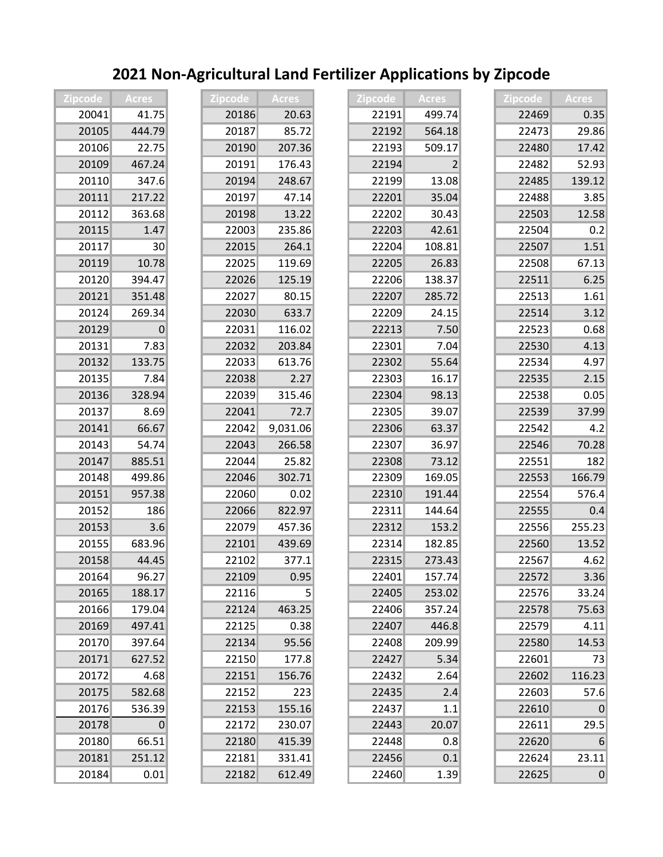| <b>Zipcode</b> | <b>Acres</b> | Zipcode | Acres           | <b>Zipcode</b> | <b>Acres</b>   | <b>Zipcode</b> | <b>Acres</b>    |
|----------------|--------------|---------|-----------------|----------------|----------------|----------------|-----------------|
| 20041          | 41.75        | 20186   | 20.63           | 22191          | 499.74         | 22469          | 0.35            |
| 20105          | 444.79       | 20187   | 85.72           | 22192          | 564.18         | 22473          | 29.86           |
| 20106          | 22.75        | 20190   | 207.36          | 22193          | 509.17         | 22480          | 17.42           |
| 20109          | 467.24       | 20191   | 176.43          | 22194          | $\overline{2}$ | 22482          | 52.93           |
| 20110          | 347.6        | 20194   | 248.67          | 22199          | 13.08          | 22485          | 139.12          |
| 20111          | 217.22       | 20197   | 47.14           | 22201          | 35.04          | 22488          | 3.85            |
| 20112          | 363.68       | 20198   | 13.22           | 22202          | 30.43          | 22503          | 12.58           |
| 20115          | 1.47         | 22003   | 235.86          | 22203          | 42.61          | 22504          | 0.2             |
| 20117          | 30           | 22015   | 264.1           | 22204          | 108.81         | 22507          | 1.51            |
| 20119          | 10.78        | 22025   | 119.69          | 22205          | 26.83          | 22508          | 67.13           |
| 20120          | 394.47       | 22026   | 125.19          | 22206          | 138.37         | 22511          | 6.25            |
| 20121          | 351.48       | 22027   | 80.15           | 22207          | 285.72         | 22513          | 1.61            |
| 20124          | 269.34       | 22030   | 633.7           | 22209          | 24.15          | 22514          | 3.12            |
| 20129          | $\Omega$     | 22031   | 116.02          | 22213          | 7.50           | 22523          | 0.68            |
| 20131          | 7.83         | 22032   | 203.84          | 22301          | 7.04           | 22530          | 4.13            |
| 20132          | 133.75       | 22033   | 613.76          | 22302          | 55.64          | 22534          | 4.97            |
| 20135          | 7.84         | 22038   | 2.27            | 22303          | 16.17          | 22535          | 2.15            |
| 20136          | 328.94       | 22039   | 315.46          | 22304          | 98.13          | 22538          | 0.05            |
| 20137          | 8.69         | 22041   | 72.7            | 22305          | 39.07          | 22539          | 37.99           |
| 20141          | 66.67        | 22042   | 9,031.06        | 22306          | 63.37          | 22542          | 4.2             |
| 20143          | 54.74        | 22043   | 266.58          | 22307          | 36.97          | 22546          | 70.28           |
| 20147          | 885.51       | 22044   | 25.82           | 22308          | 73.12          | 22551          | 182             |
| 20148          | 499.86       | 22046   | 302.71          | 22309          | 169.05         | 22553          | 166.79          |
| 20151          | 957.38       | 22060   | 0.02            | 22310          | 191.44         | 22554          | 576.4           |
| 20152          | 186          | 22066   | 822.97          | 22311          | 144.64         | 22555          | 0.4             |
| 20153          | 3.6          | 22079   | 457.36          | 22312          | 153.2          | 22556          | 255.23          |
| 20155          | 683.96       | 22101   | 439.69          | 22314          | 182.85         | 22560          | 13.52           |
| 20158          | 44.45        | 22102   | 377.1           | 22315          | 273.43         | 22567          | 4.62            |
| 20164          | 96.27        | 22109   | 0.95            | 22401          | 157.74         | 22572          | 3.36            |
| 20165          | 188.17       | 22116   | $\vert 5 \vert$ | 22405          | 253.02         | 22576          | 33.24           |
| 20166          | 179.04       | 22124   | 463.25          | 22406          | 357.24         | 22578          | 75.63           |
| 20169          | 497.41       | 22125   | 0.38            | 22407          | 446.8          | 22579          | 4.11            |
| 20170          | 397.64       | 22134   | 95.56           | 22408          | 209.99         | 22580          | 14.53           |
| 20171          | 627.52       | 22150   | 177.8           | 22427          | 5.34           | 22601          | 73              |
| 20172          | 4.68         | 22151   | 156.76          | 22432          | 2.64           | 22602          | 116.23          |
| 20175          | 582.68       | 22152   | 223             | 22435          | 2.4            | 22603          | 57.6            |
| 20176          | 536.39       | 22153   | 155.16          | 22437          | 1.1            | 22610          | 0               |
| 20178          | 0            | 22172   | 230.07          | 22443          | 20.07          | 22611          | 29.5            |
| 20180          | 66.51        | 22180   | 415.39          | 22448          | 0.8            | 22620          | $6 \mid$        |
| 20181          | 251.12       | 22181   | 331.41          | 22456          | 0.1            | 22624          | 23.11           |
| 20184          | 0.01         | 22182   | 612.49          | 22460          | 1.39           | 22625          | $\vert 0 \vert$ |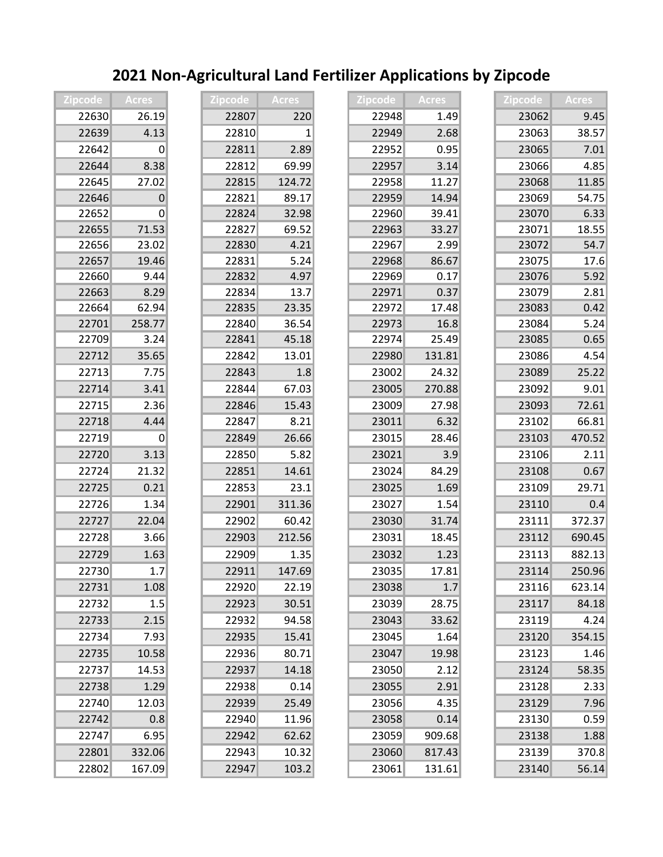| <b>Zipcode</b> | <b>Acres</b>   | Zipcode | <b>Acres</b> | <b>Zipcode</b> | Acres  | <b>Zipcode</b> | <b>Acres</b> |
|----------------|----------------|---------|--------------|----------------|--------|----------------|--------------|
| 22630          | 26.19          | 22807   | 220          | 22948          | 1.49   | 23062          | 9.45         |
| 22639          | 4.13           | 22810   | 1            | 22949          | 2.68   | 23063          | 38.57        |
| 22642          | 0              | 22811   | 2.89         | 22952          | 0.95   | 23065          | 7.01         |
| 22644          | 8.38           | 22812   | 69.99        | 22957          | 3.14   | 23066          | 4.85         |
| 22645          | 27.02          | 22815   | 124.72       | 22958          | 11.27  | 23068          | 11.85        |
| 22646          | $\overline{0}$ | 22821   | 89.17        | 22959          | 14.94  | 23069          | 54.75        |
| 22652          | $\Omega$       | 22824   | 32.98        | 22960          | 39.41  | 23070          | 6.33         |
| 22655          | 71.53          | 22827   | 69.52        | 22963          | 33.27  | 23071          | 18.55        |
| 22656          | 23.02          | 22830   | 4.21         | 22967          | 2.99   | 23072          | 54.7         |
| 22657          | 19.46          | 22831   | 5.24         | 22968          | 86.67  | 23075          | 17.6         |
| 22660          | 9.44           | 22832   | 4.97         | 22969          | 0.17   | 23076          | 5.92         |
| 22663          | 8.29           | 22834   | 13.7         | 22971          | 0.37   | 23079          | 2.81         |
| 22664          | 62.94          | 22835   | 23.35        | 22972          | 17.48  | 23083          | 0.42         |
| 22701          | 258.77         | 22840   | 36.54        | 22973          | 16.8   | 23084          | 5.24         |
| 22709          | 3.24           | 22841   | 45.18        | 22974          | 25.49  | 23085          | 0.65         |
| 22712          | 35.65          | 22842   | 13.01        | 22980          | 131.81 | 23086          | 4.54         |
| 22713          | 7.75           | 22843   | 1.8          | 23002          | 24.32  | 23089          | 25.22        |
| 22714          | 3.41           | 22844   | 67.03        | 23005          | 270.88 | 23092          | 9.01         |
| 22715          | 2.36           | 22846   | 15.43        | 23009          | 27.98  | 23093          | 72.61        |
| 22718          | 4.44           | 22847   | 8.21         | 23011          | 6.32   | 23102          | 66.81        |
| 22719          | 0              | 22849   | 26.66        | 23015          | 28.46  | 23103          | 470.52       |
| 22720          | 3.13           | 22850   | 5.82         | 23021          | 3.9    | 23106          | 2.11         |
| 22724          | 21.32          | 22851   | 14.61        | 23024          | 84.29  | 23108          | 0.67         |
| 22725          | 0.21           | 22853   | 23.1         | 23025          | 1.69   | 23109          | 29.71        |
| 22726          | 1.34           | 22901   | 311.36       | 23027          | 1.54   | 23110          | 0.4          |
| 22727          | 22.04          | 22902   | 60.42        | 23030          | 31.74  | 23111          | 372.37       |
| 22728          | 3.66           | 22903   | 212.56       | 23031          | 18.45  | 23112          | 690.45       |
| 22729          | 1.63           | 22909   | 1.35         | 23032          | 1.23   | 23113          | 882.13       |
| 22730          | 1.7            | 22911   | 147.69       | 23035          | 17.81  | 23114          | 250.96       |
| 22731          | 1.08           | 22920   | 22.19        | 23038          | 1.7    | 23116          | 623.14       |
| 22732          | 1.5            | 22923   | 30.51        | 23039          | 28.75  | 23117          | 84.18        |
| 22733          | 2.15           | 22932   | 94.58        | 23043          | 33.62  | 23119          | 4.24         |
| 22734          | 7.93           | 22935   | 15.41        | 23045          | 1.64   | 23120          | 354.15       |
| 22735          | 10.58          | 22936   | 80.71        | 23047          | 19.98  | 23123          | 1.46         |
| 22737          | 14.53          | 22937   | 14.18        | 23050          | 2.12   | 23124          | 58.35        |
| 22738          | 1.29           | 22938   | 0.14         | 23055          | 2.91   | 23128          | 2.33         |
| 22740          | 12.03          | 22939   | 25.49        | 23056          | 4.35   | 23129          | 7.96         |
| 22742          | 0.8            | 22940   | 11.96        | 23058          | 0.14   | 23130          | 0.59         |
| 22747          | 6.95           | 22942   | 62.62        | 23059          | 909.68 | 23138          | 1.88         |
| 22801          | 332.06         | 22943   | 10.32        | 23060          | 817.43 | 23139          | 370.8        |
| 22802          | 167.09         | 22947   | 103.2        | 23061          | 131.61 | 23140          | 56.14        |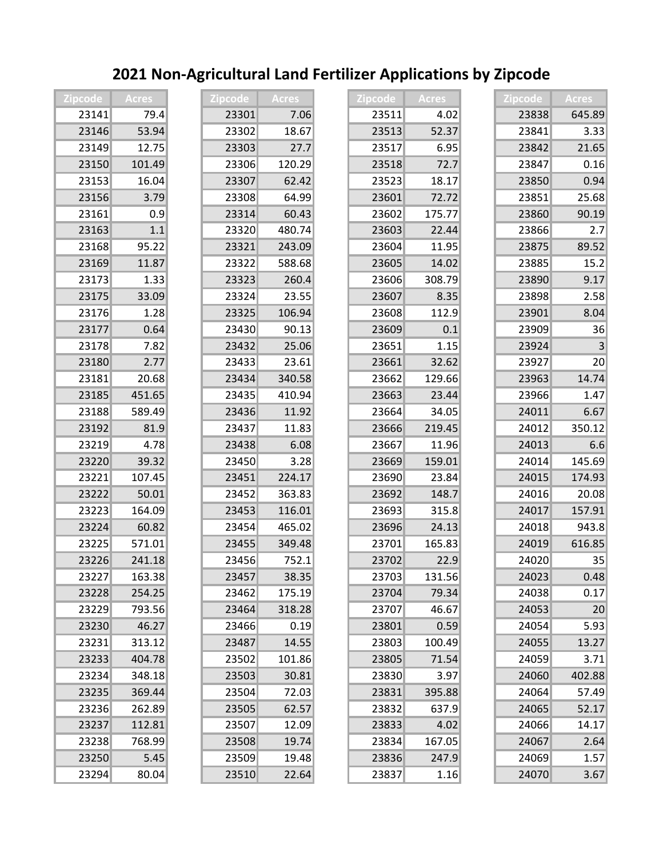| <b>Zipcode</b> | <b>Acres</b> | <b>Zipcode</b> | <b>Acres</b> | Zipcode | <b>Acres</b> | Zipcode | <b>Acres</b> |
|----------------|--------------|----------------|--------------|---------|--------------|---------|--------------|
| 23141          | 79.4         | 23301          | 7.06         | 23511   | 4.02         | 23838   | 645.89       |
| 23146          | 53.94        | 23302          | 18.67        | 23513   | 52.37        | 23841   | 3.33         |
| 23149          | 12.75        | 23303          | 27.7         | 23517   | 6.95         | 23842   | 21.65        |
| 23150          | 101.49       | 23306          | 120.29       | 23518   | 72.7         | 23847   | 0.16         |
| 23153          | 16.04        | 23307          | 62.42        | 23523   | 18.17        | 23850   | 0.94         |
| 23156          | 3.79         | 23308          | 64.99        | 23601   | 72.72        | 23851   | 25.68        |
| 23161          | 0.9          | 23314          | 60.43        | 23602   | 175.77       | 23860   | 90.19        |
| 23163          | 1.1          | 23320          | 480.74       | 23603   | 22.44        | 23866   | 2.7          |
| 23168          | 95.22        | 23321          | 243.09       | 23604   | 11.95        | 23875   | 89.52        |
| 23169          | 11.87        | 23322          | 588.68       | 23605   | 14.02        | 23885   | 15.2         |
| 23173          | 1.33         | 23323          | 260.4        | 23606   | 308.79       | 23890   | 9.17         |
| 23175          | 33.09        | 23324          | 23.55        | 23607   | 8.35         | 23898   | 2.58         |
| 23176          | 1.28         | 23325          | 106.94       | 23608   | 112.9        | 23901   | 8.04         |
| 23177          | 0.64         | 23430          | 90.13        | 23609   | 0.1          | 23909   | 36           |
| 23178          | 7.82         | 23432          | 25.06        | 23651   | 1.15         | 23924   | 3            |
| 23180          | 2.77         | 23433          | 23.61        | 23661   | 32.62        | 23927   | 20           |
| 23181          | 20.68        | 23434          | 340.58       | 23662   | 129.66       | 23963   | 14.74        |
| 23185          | 451.65       | 23435          | 410.94       | 23663   | 23.44        | 23966   | 1.47         |
| 23188          | 589.49       | 23436          | 11.92        | 23664   | 34.05        | 24011   | 6.67         |
| 23192          | 81.9         | 23437          | 11.83        | 23666   | 219.45       | 24012   | 350.12       |
| 23219          | 4.78         | 23438          | 6.08         | 23667   | 11.96        | 24013   | 6.6          |
| 23220          | 39.32        | 23450          | 3.28         | 23669   | 159.01       | 24014   | 145.69       |
| 23221          | 107.45       | 23451          | 224.17       | 23690   | 23.84        | 24015   | 174.93       |
| 23222          | 50.01        | 23452          | 363.83       | 23692   | 148.7        | 24016   | 20.08        |
| 23223          | 164.09       | 23453          | 116.01       | 23693   | 315.8        | 24017   | 157.91       |
| 23224          | 60.82        | 23454          | 465.02       | 23696   | 24.13        | 24018   | 943.8        |
| 23225          | 571.01       | 23455          | 349.48       | 23701   | 165.83       | 24019   | 616.85       |
| 23226          | 241.18       | 23456          | 752.1        | 23702   | 22.9         | 24020   | 35           |
| 23227          | 163.38       | 23457          | 38.35        | 23703   | 131.56       | 24023   | 0.48         |
| 23228          | 254.25       | 23462          | 175.19       | 23704   | 79.34        | 24038   | 0.17         |
| 23229          | 793.56       | 23464          | 318.28       | 23707   | 46.67        | 24053   | 20           |
| 23230          | 46.27        | 23466          | 0.19         | 23801   | 0.59         | 24054   | 5.93         |
| 23231          | 313.12       | 23487          | 14.55        | 23803   | 100.49       | 24055   | 13.27        |
| 23233          | 404.78       | 23502          | 101.86       | 23805   | 71.54        | 24059   | 3.71         |
| 23234          | 348.18       | 23503          | 30.81        | 23830   | 3.97         | 24060   | 402.88       |
| 23235          | 369.44       | 23504          | 72.03        | 23831   | 395.88       | 24064   | 57.49        |
| 23236          | 262.89       | 23505          | 62.57        | 23832   | 637.9        | 24065   | 52.17        |
| 23237          | 112.81       | 23507          | 12.09        | 23833   | 4.02         | 24066   | 14.17        |
| 23238          | 768.99       | 23508          | 19.74        | 23834   | 167.05       | 24067   | 2.64         |
| 23250          | 5.45         | 23509          | 19.48        | 23836   | 247.9        | 24069   | 1.57         |
| 23294          | 80.04        | 23510          | 22.64        | 23837   | 1.16         | 24070   | 3.67         |